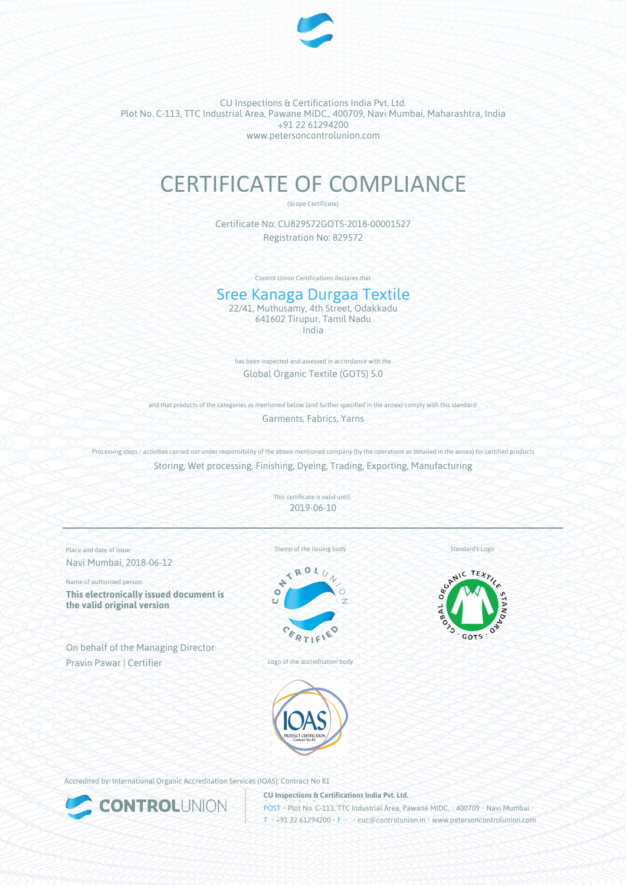

# CERTIFICATE OF COMPLIANCE

(Scope Certificate)

Certificate No: CU829572GOTS-2018-00001527 Registration No: 829572

Control Union Certifications declares that

## Sree Kanaga Durgaa Textile

22/41, Muthusamy, 4th Street, Odakkadu 641602 Tirupur, Tamil Nadu India

has been inspected and assessed in accordance with the Global Organic Textile (GOTS) 5.0

and that products of the categories as mentioned below (and further specified in the annex) comply with this standard: Garments, Fabrics, Yarns

Processing steps / activities carried out under responsibility of the above-mentioned company (by the operations as detailed in the annex) for certified products Storing, Wet processing, Finishing, Dyeing, Trading, Exporting, Manufacturing

> This certificate is valid until: 2019-06-10

Place and date of issue: Navi Mumbai, 2018-06-12

Name of authorised person: **This electronically issued document is the valid original version**

On behalf of the Managing Director Pravin Pawar | Certifier

Stamp of the issuing body



Logo of the accreditation body

Standard's Logo





Accredited by: International Organic Accreditation Services (IOAS); Contract No 81



**CU Inspections & Certifications India Pvt. Ltd.**

**POST • Plot No. C-113, TTC Industrial Area, Pawane MIDC. • 400709 • Navi Mumbai** T • +91 22 61294200 • F • cuc@controlunion.in • www.petersoncontrolunion.com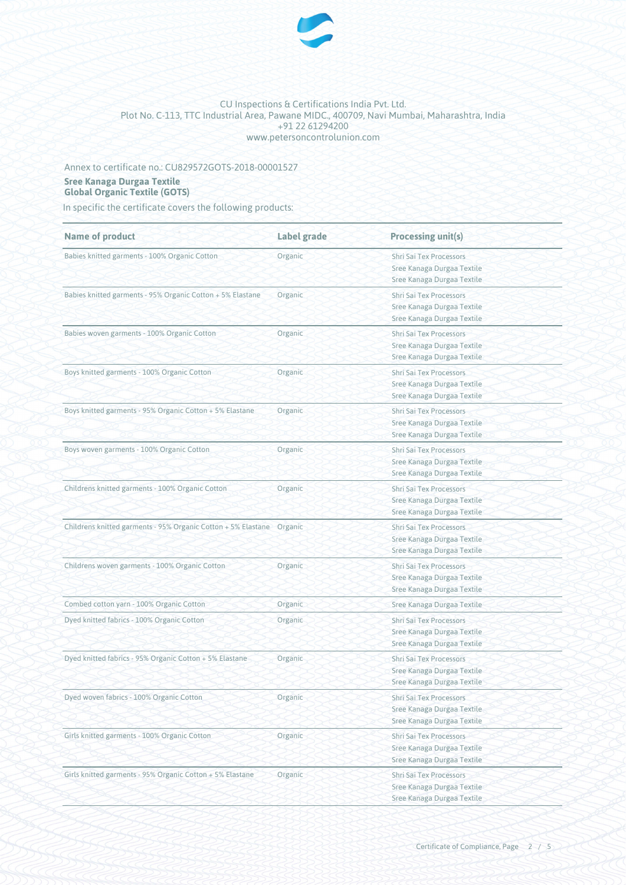

## Annex to certificate no.: CU829572GOTS-2018-00001527

#### **Sree Kanaga Durgaa Textile Global Organic Textile (GOTS)**

In specific the certificate covers the following products:

| <b>Name of product</b>                                                | Label grade | <b>Processing unit(s)</b>                                                                  |
|-----------------------------------------------------------------------|-------------|--------------------------------------------------------------------------------------------|
| Babies knitted garments - 100% Organic Cotton                         | Organic     | Shri Sai Tex Processors<br>Sree Kanaga Durgaa Textile<br>Sree Kanaga Durgaa Textile        |
| Babies knitted garments - 95% Organic Cotton + 5% Elastane            | Organic     | Shri Sai Tex Processors<br>Sree Kanaga Durgaa Textile<br>Sree Kanaga Durgaa Textile        |
| Babies woven garments - 100% Organic Cotton                           | Organic     | Shri Sai Tex Processors<br>Sree Kanaga Durgaa Textile<br>Sree Kanaga Durgaa Textile        |
| Boys knitted garments - 100% Organic Cotton                           | Organic     | Shri Sai Tex Processors<br>Sree Kanaga Durgaa Textile<br>Sree Kanaga Durgaa Textile        |
| Boys knitted garments - 95% Organic Cotton + 5% Elastane              | Organic     | Shri Sai Tex Processors<br>Sree Kanaga Durgaa Textile<br>Sree Kanaga Durgaa Textile        |
| Boys woven garments - 100% Organic Cotton                             | Organic     | Shri Sai Tex Processors<br>Sree Kanaga Durgaa Textile<br>Sree Kanaga Durgaa Textile        |
| Childrens knitted garments - 100% Organic Cotton                      | Organic     | Shri Sai Tex Processors<br>Sree Kanaga Durgaa Textile<br>Sree Kanaga Durgaa Textile        |
| Childrens knitted garments - 95% Organic Cotton + 5% Elastane Organic |             | Shri Sai Tex Processors<br>Sree Kanaga Durgaa Textile<br>Sree Kanaga Durgaa Textile        |
| Childrens woven garments - 100% Organic Cotton                        | Organic     | Shri Sai Tex Processors<br>Sree Kanaga Durgaa Textile<br>Sree Kanaga Durgaa Textile        |
| Combed cotton yarn - 100% Organic Cotton                              | Organic     | Sree Kanaga Durgaa Textile                                                                 |
| Dyed knitted fabrics - 100% Organic Cotton                            | Organic     | Shri Sai Tex Processors<br>Sree Kanaga Durgaa Textile<br>Sree Kanaga Durgaa Textile        |
| Dyed knitted fabrics - 95% Organic Cotton + 5% Elastane               | Organic     | Shri Sai Tex Processors<br>Sree Kanaga Durgaa Textile<br>Sree Kanaga Durgaa Textile        |
| Dyed woven fabrics - 100% Organic Cotton                              | Organic     | <b>Shri Sai Tex Processors</b><br>Sree Kanaga Durgaa Textile<br>Sree Kanaga Durgaa Textile |
| Girls knitted garments - 100% Organic Cotton                          | Organic     | Shri Sai Tex Processors<br>Sree Kanaga Durgaa Textile<br>Sree Kanaga Durgaa Textile        |
| Girls knitted garments - 95% Organic Cotton + 5% Elastane             | Organic     | Shri Sai Tex Processors<br>Sree Kanaga Durgaa Textile<br>Sree Kanaga Durgaa Textile        |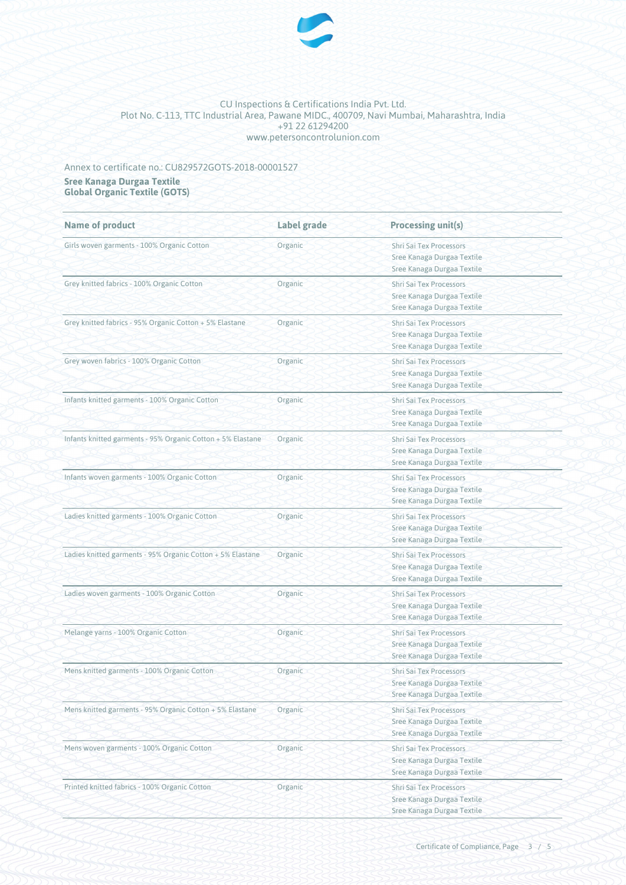

## Annex to certificate no.: CU829572GOTS-2018-00001527

**Sree Kanaga Durgaa Textile Global Organic Textile (GOTS)**

| <b>Name of product</b>                                      | Label grade | <b>Processing unit(s)</b>                                                                  |
|-------------------------------------------------------------|-------------|--------------------------------------------------------------------------------------------|
| Girls woven garments - 100% Organic Cotton                  | Organic     | Shri Sai Tex Processors<br>Sree Kanaga Durgaa Textile<br>Sree Kanaga Durgaa Textile        |
| Grey knitted fabrics - 100% Organic Cotton                  | Organic     | Shri Sai Tex Processors<br>Sree Kanaga Durgaa Textile<br>Sree Kanaga Durgaa Textile        |
| Grey knitted fabrics - 95% Organic Cotton + 5% Elastane     | Organic     | Shri Sai Tex Processors<br>Sree Kanaga Durgaa Textile<br>Sree Kanaga Durgaa Textile        |
| Grey woven fabrics - 100% Organic Cotton                    | Organic     | Shri Sai Tex Processors<br>Sree Kanaga Durgaa Textile<br>Sree Kanaga Durgaa Textile        |
| Infants knitted garments - 100% Organic Cotton              | Organic     | Shri Sai Tex Processors<br>Sree Kanaga Durgaa Textile<br>Sree Kanaga Durgaa Textile        |
| Infants knitted garments - 95% Organic Cotton + 5% Elastane | Organic     | <b>Shri Sai Tex Processors</b><br>Sree Kanaga Durgaa Textile<br>Sree Kanaga Durgaa Textile |
| Infants woven garments - 100% Organic Cotton                | Organic     | Shri Sai Tex Processors<br>Sree Kanaga Durgaa Textile<br>Sree Kanaga Durgaa Textile        |
| Ladies knitted garments - 100% Organic Cotton               | Organic     | Shri Sai Tex Processors<br>Sree Kanaga Durgaa Textile<br>Sree Kanaga Durgaa Textile        |
| Ladies knitted garments - 95% Organic Cotton + 5% Elastane  | Organic     | Shri Sai Tex Processors<br>Sree Kanaga Durgaa Textile<br>Sree Kanaga Durgaa Textile        |
| Ladies woven garments - 100% Organic Cotton                 | Organic     | Shri Sai Tex Processors<br>Sree Kanaga Durgaa Textile<br>Sree Kanaga Durgaa Textile        |
| Melange yarns - 100% Organic Cotton                         | Organic     | Shri Sai Tex Processors<br>Sree Kanaga Durgaa Textile<br>Sree Kanaga Durgaa Textile        |
| Mens knitted garments - 100% Organic Cotton                 | Organic     | Shri Sai Tex Processors<br>Sree Kanaga Durgaa Textile<br>Sree Kanaga Durgaa Textile        |
| Mens knitted garments - 95% Organic Cotton + 5% Elastane    | Organic     | <b>Shri Sai Tex Processors</b><br>Sree Kanaga Durgaa Textile<br>Sree Kanaga Durgaa Textile |
| Mens woven garments - 100% Organic Cotton                   | Organic     | Shri Sai Tex Processors<br>Sree Kanaga Durgaa Textile<br>Sree Kanaga Durgaa Textile        |
| Printed knitted fabrics - 100% Organic Cotton               | Organic     | Shri Sai Tex Processors<br>Sree Kanaga Durgaa Textile<br>Sree Kanaga Durgaa Textile        |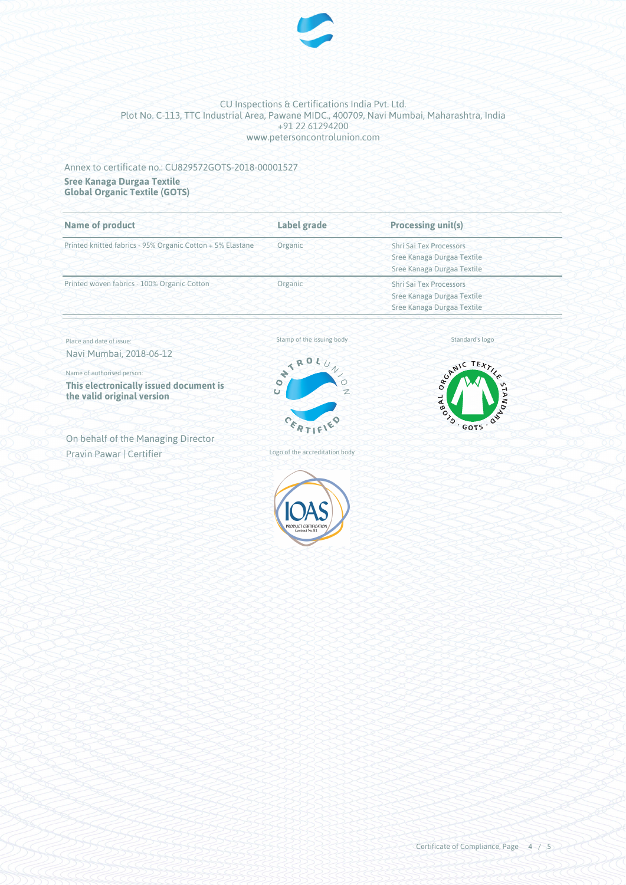

### Annex to certificate no.: CU829572GOTS-2018-00001527

**Sree Kanaga Durgaa Textile Global Organic Textile (GOTS)**

| <b>Name of product</b>                                     | Label grade | Processing unit(s)             |
|------------------------------------------------------------|-------------|--------------------------------|
| Printed knitted fabrics - 95% Organic Cotton + 5% Elastane | Organic     | Shri Sai Tex Processors        |
|                                                            |             | Sree Kanaga Durgaa Textile     |
|                                                            |             | Sree Kanaga Durgaa Textile     |
| Printed woven fabrics - 100% Organic Cotton                | Organic     | <b>Shri Sai Tex Processors</b> |
|                                                            |             | Sree Kanaga Durgaa Textile     |
|                                                            |             | Sree Kanaga Durgaa Textile     |

Place and date of issue: Navi Mumbai, 2018-06-12

Name of authorised person:

**This electronically issued document is the valid original version**

On behalf of the Managing Director Pravin Pawar | Certifier

Stamp of the issuing body



Logo of the accreditation body



Standard's logo